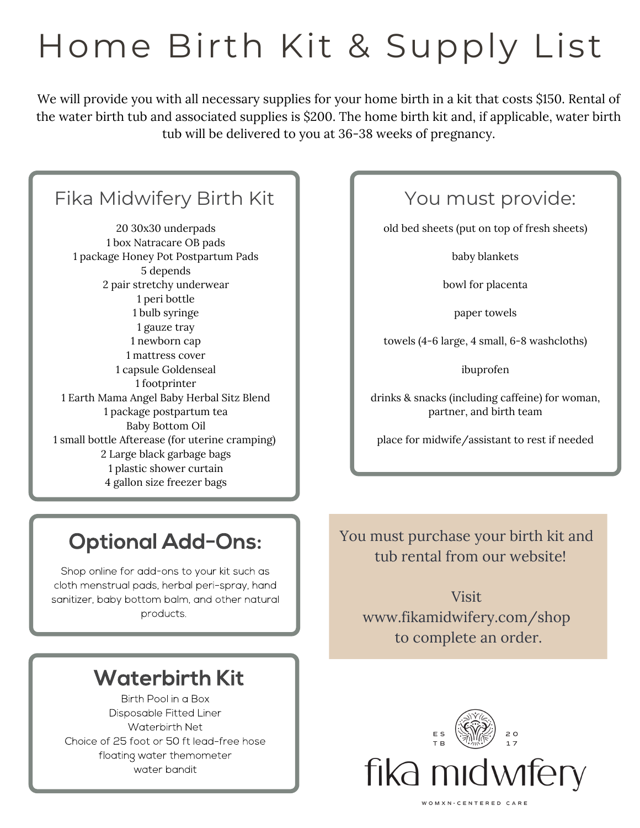# Home Birth Kit & Supply List

We will provide you with all necessary supplies for your home birth in a kit that costs \$150. Rental of the water birth tub and associated supplies is \$200. The home birth kit and, if applicable, water birth tub will be delivered to you at 36-38 weeks of pregnancy.

### Fika Midwifery Birth Kit

 30x30 underpads box Natracare OB pads package Honey Pot Postpartum Pads 5 depends pair stretchy underwear peri bottle bulb syringe gauze tray newborn cap mattress cover capsule Goldenseal footprinter Earth Mama Angel Baby Herbal Sitz Blend package postpartum tea Baby Bottom Oil small bottle Afterease (for uterine cramping) Large black garbage bags plastic shower curtain gallon size freezer bags

### **Optional Add-Ons:**

Shop online for add-ons to your kit such as cloth menstrual pads, herbal peri-spray, hand sanitizer, baby bottom balm, and other natural products.

### **Waterbirth Kit**

Birth Pool in a Box Disposable Fitted Liner Waterbirth Net Choice of 25 foot or 50 ft lead-free hose floating water themometer water bandit

### You must provide:

old bed sheets (put on top of fresh sheets)

baby blankets

bowl for placenta

paper towels

towels (4-6 large, 4 small, 6-8 washcloths)

ibuprofen

drinks & snacks (including caffeine) for woman, partner, and birth team

place for midwife/assistant to rest if needed

#### You must purchase your birth kit and tub rental from our website!

Visit www.fikamidwifery.com/shop to complete an order.